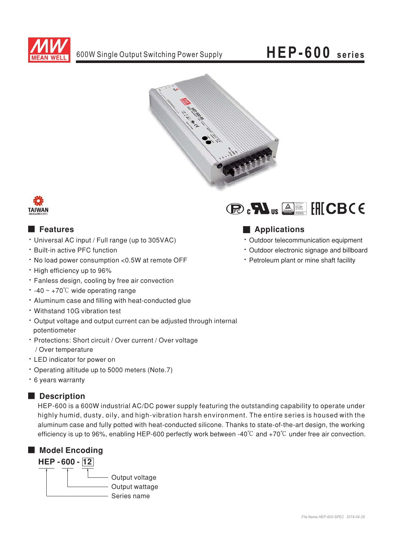

## HEP-600 series





### **E** Features

- Universal AC input / Full range (up to 305VAC)
- . Built-in active PFC function
- . No load power consumption <0.5W at remote OFF
- High efficiency up to 96%
- · Fanless design, cooling by free air convection
- $\cdot$  -40 ~ +70<sup>°</sup>C wide operating range
- . Aluminum case and filling with heat-conducted glue
- Withstand 10G vibration test
- Output voltage and output current can be adjusted through internal potentiometer
- Protections: Short circuit / Over current / Over voltage / Over temperature
- LED indicator for power on
- \* Operating altitude up to 5000 meters (Note.7)
- \* 6 years warranty

### Description

HEP-600 is a 600W industrial AC/DC power supply featuring the outstanding capability to operate under highly humid, dusty, oily, and high-vibration harsh environment. The entire series is housed with the aluminum case and fully potted with heat-conducted silicone. Thanks to state-of-the-art design, the working efficiency is up to 96%, enabling HEP-600 perfectly work between -40 $\degree$ C and +70 $\degree$ C under free air convection.







## Applications

- · Outdoor telecommunication equipment
- · Outdoor electronic signage and billboard
- Petroleum plant or mine shaft facility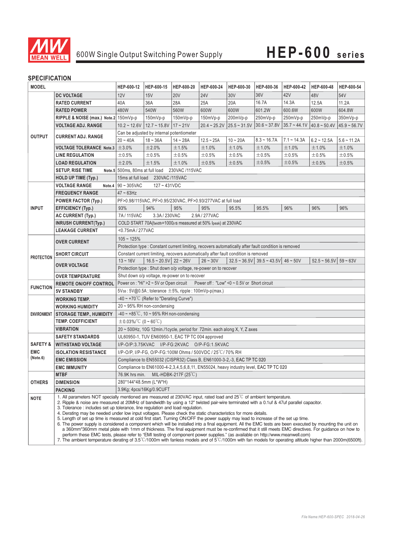

## 600W Single Output Switching Power Supply **HEP-600 series**

#### **SPECIFICATION**

| <b>MODEL</b>        |                                                                                                                                                                                                                                                                                                                                                                                                                                                                                                                                                                                                                                                                                                                                                                                                                                                                                                                                                                                                                                                                                                                                                                                                                                         | HEP-600-12                                                                                           | HEP-600-15                                            | HEP-600-20  | HEP-600-24   | HEP-600-30                             | HEP-600-36                                                                         | HEP-600-42     | HEP-600-48                                            | HEP-600-54     |
|---------------------|-----------------------------------------------------------------------------------------------------------------------------------------------------------------------------------------------------------------------------------------------------------------------------------------------------------------------------------------------------------------------------------------------------------------------------------------------------------------------------------------------------------------------------------------------------------------------------------------------------------------------------------------------------------------------------------------------------------------------------------------------------------------------------------------------------------------------------------------------------------------------------------------------------------------------------------------------------------------------------------------------------------------------------------------------------------------------------------------------------------------------------------------------------------------------------------------------------------------------------------------|------------------------------------------------------------------------------------------------------|-------------------------------------------------------|-------------|--------------|----------------------------------------|------------------------------------------------------------------------------------|----------------|-------------------------------------------------------|----------------|
|                     | <b>DC VOLTAGE</b>                                                                                                                                                                                                                                                                                                                                                                                                                                                                                                                                                                                                                                                                                                                                                                                                                                                                                                                                                                                                                                                                                                                                                                                                                       | 12V                                                                                                  | 15V                                                   | <b>20V</b>  | <b>24V</b>   | 30V                                    | 36V                                                                                | 42V            | 48V                                                   | 54V            |
| <b>OUTPUT</b>       | <b>RATED CURRENT</b>                                                                                                                                                                                                                                                                                                                                                                                                                                                                                                                                                                                                                                                                                                                                                                                                                                                                                                                                                                                                                                                                                                                                                                                                                    | 40A                                                                                                  | 36A                                                   | 28A         | 25A          | 20A                                    | 16.7A                                                                              | 14.3A          | 12.5A                                                 | 11.2A          |
|                     | <b>RATED POWER</b>                                                                                                                                                                                                                                                                                                                                                                                                                                                                                                                                                                                                                                                                                                                                                                                                                                                                                                                                                                                                                                                                                                                                                                                                                      | 480W                                                                                                 | 540W                                                  | 560W        | 600W         | 600W                                   | 601.2W                                                                             | 600.6W         | 600W                                                  | 604.8W         |
|                     | RIPPLE & NOISE (max.) Note.2 150mVp-p                                                                                                                                                                                                                                                                                                                                                                                                                                                                                                                                                                                                                                                                                                                                                                                                                                                                                                                                                                                                                                                                                                                                                                                                   |                                                                                                      | 150mVp-p                                              | $150mVp-p$  | 150mVp-p     | 200mVp-p                               | 250mVp-p                                                                           | 250mVp-p       | 250mVp-p                                              | $350mVp-p$     |
|                     | <b>VOLTAGE ADJ. RANGE</b>                                                                                                                                                                                                                                                                                                                                                                                                                                                                                                                                                                                                                                                                                                                                                                                                                                                                                                                                                                                                                                                                                                                                                                                                               | $10.2 \approx 12.6V$   12.7 ~ 15.8V   17 ~ 21V                                                       |                                                       |             |              | $20.4 \sim 25.2 \text{V}$ 25.5 ~ 31.5V | $ 30.6 \sim 37.8$ V                                                                | $35.7 - 44.1V$ | $40.8 - 50.4V$                                        | $45.9 - 56.7V$ |
|                     | <b>CURRENT ADJ. RANGE</b>                                                                                                                                                                                                                                                                                                                                                                                                                                                                                                                                                                                                                                                                                                                                                                                                                                                                                                                                                                                                                                                                                                                                                                                                               | Can be adjusted by internal potentiometer                                                            |                                                       |             |              |                                        |                                                                                    |                |                                                       |                |
|                     |                                                                                                                                                                                                                                                                                                                                                                                                                                                                                                                                                                                                                                                                                                                                                                                                                                                                                                                                                                                                                                                                                                                                                                                                                                         | $20 - 40A$                                                                                           | $18 - 36A$                                            | $14 - 28A$  | $12.5 - 25A$ | $10 - 20A$                             | $8.3 - 16.7A$                                                                      | $7.1 - 14.3A$  | $6.2 - 12.5A$                                         | $5.6 - 11.2A$  |
|                     | <b>VOLTAGE TOLERANCE Note.3</b>                                                                                                                                                                                                                                                                                                                                                                                                                                                                                                                                                                                                                                                                                                                                                                                                                                                                                                                                                                                                                                                                                                                                                                                                         | $\pm$ 3.0%                                                                                           | ±2.0%                                                 | ±1.5%       | ±1.0%        | ±1.0%                                  | ±1.0%                                                                              | ±1.0%          | ±1.0%                                                 | ±1.0%          |
|                     | <b>LINE REGULATION</b>                                                                                                                                                                                                                                                                                                                                                                                                                                                                                                                                                                                                                                                                                                                                                                                                                                                                                                                                                                                                                                                                                                                                                                                                                  | ±0.5%                                                                                                | ±0.5%                                                 | $\pm 0.5\%$ | ±0.5%        | ±0.5%                                  | ±0.5%                                                                              | ±0.5%          | $\pm 0.5\%$                                           | ±0.5%          |
|                     | <b>LOAD REGULATION</b>                                                                                                                                                                                                                                                                                                                                                                                                                                                                                                                                                                                                                                                                                                                                                                                                                                                                                                                                                                                                                                                                                                                                                                                                                  | ±2.0%                                                                                                | ±1.5%                                                 | ±1.0%       | ±0.5%        | ±0.5%                                  | ±0.5%                                                                              | ±0.5%          | $\pm 0.5\%$                                           | $\pm 0.5\%$    |
|                     | <b>SETUP, RISE TIME</b>                                                                                                                                                                                                                                                                                                                                                                                                                                                                                                                                                                                                                                                                                                                                                                                                                                                                                                                                                                                                                                                                                                                                                                                                                 | Note.5 500ms, 80ms at full load 230VAC /115VAC                                                       |                                                       |             |              |                                        |                                                                                    |                |                                                       |                |
|                     | <b>HOLD UP TIME (Typ.)</b>                                                                                                                                                                                                                                                                                                                                                                                                                                                                                                                                                                                                                                                                                                                                                                                                                                                                                                                                                                                                                                                                                                                                                                                                              | 15ms at full load 230VAC /115VAC                                                                     |                                                       |             |              |                                        |                                                                                    |                |                                                       |                |
| <b>INPUT</b>        | <b>VOLTAGE RANGE</b>                                                                                                                                                                                                                                                                                                                                                                                                                                                                                                                                                                                                                                                                                                                                                                                                                                                                                                                                                                                                                                                                                                                                                                                                                    | Note.4   $90 \sim 305$ VAC<br>$127 - 431VDC$                                                         |                                                       |             |              |                                        |                                                                                    |                |                                                       |                |
|                     | <b>FREQUENCY RANGE</b>                                                                                                                                                                                                                                                                                                                                                                                                                                                                                                                                                                                                                                                                                                                                                                                                                                                                                                                                                                                                                                                                                                                                                                                                                  | $47 \sim 63$ Hz                                                                                      |                                                       |             |              |                                        |                                                                                    |                |                                                       |                |
|                     | <b>POWER FACTOR (Typ.)</b>                                                                                                                                                                                                                                                                                                                                                                                                                                                                                                                                                                                                                                                                                                                                                                                                                                                                                                                                                                                                                                                                                                                                                                                                              | PF>0.98/115VAC, PF>0.95/230VAC, PF>0.93/277VAC at full load                                          |                                                       |             |              |                                        |                                                                                    |                |                                                       |                |
|                     | EFFICIENCY (Typ.)                                                                                                                                                                                                                                                                                                                                                                                                                                                                                                                                                                                                                                                                                                                                                                                                                                                                                                                                                                                                                                                                                                                                                                                                                       | 93%                                                                                                  | 94%                                                   | 95%         | 95%          | 95.5%                                  | 95.5%                                                                              | 96%            | 96%                                                   | 96%            |
|                     | <b>AC CURRENT (Typ.)</b>                                                                                                                                                                                                                                                                                                                                                                                                                                                                                                                                                                                                                                                                                                                                                                                                                                                                                                                                                                                                                                                                                                                                                                                                                | 7A/115VAC<br>3.3A/230VAC<br>2.9A/277VAC                                                              |                                                       |             |              |                                        |                                                                                    |                |                                                       |                |
|                     | <b>INRUSH CURRENT(Typ.)</b>                                                                                                                                                                                                                                                                                                                                                                                                                                                                                                                                                                                                                                                                                                                                                                                                                                                                                                                                                                                                                                                                                                                                                                                                             | COLD START 70A(twidth=1000µs measured at 50% Ipeak) at 230VAC                                        |                                                       |             |              |                                        |                                                                                    |                |                                                       |                |
|                     | <b>LEAKAGE CURRENT</b>                                                                                                                                                                                                                                                                                                                                                                                                                                                                                                                                                                                                                                                                                                                                                                                                                                                                                                                                                                                                                                                                                                                                                                                                                  | <0.75mA/277VAC                                                                                       |                                                       |             |              |                                        |                                                                                    |                |                                                       |                |
| <b>PROTECTION</b>   | <b>OVER CURRENT</b>                                                                                                                                                                                                                                                                                                                                                                                                                                                                                                                                                                                                                                                                                                                                                                                                                                                                                                                                                                                                                                                                                                                                                                                                                     | $105 - 125%$                                                                                         |                                                       |             |              |                                        |                                                                                    |                |                                                       |                |
|                     |                                                                                                                                                                                                                                                                                                                                                                                                                                                                                                                                                                                                                                                                                                                                                                                                                                                                                                                                                                                                                                                                                                                                                                                                                                         | Protection type : Constant current limiting, recovers automatically after fault condition is removed |                                                       |             |              |                                        |                                                                                    |                |                                                       |                |
|                     | <b>SHORT CIRCUIT</b>                                                                                                                                                                                                                                                                                                                                                                                                                                                                                                                                                                                                                                                                                                                                                                                                                                                                                                                                                                                                                                                                                                                                                                                                                    | Constant current limiting, recovers automatically after fault condition is removed                   |                                                       |             |              |                                        |                                                                                    |                |                                                       |                |
|                     | <b>OVER VOLTAGE</b>                                                                                                                                                                                                                                                                                                                                                                                                                                                                                                                                                                                                                                                                                                                                                                                                                                                                                                                                                                                                                                                                                                                                                                                                                     | $13 - 16V$                                                                                           | $16.5 \approx 20.5 \text{V}$ 22 $\approx 26 \text{V}$ |             | $26 - 30V$   |                                        | $32.5 \approx 36.5 \text{V}$ 39.5 $\approx 43.5 \text{V}$ 46 $\approx 50 \text{V}$ |                | $52.5 \approx 56.5 \text{V}$ 59 $\approx 63 \text{V}$ |                |
|                     |                                                                                                                                                                                                                                                                                                                                                                                                                                                                                                                                                                                                                                                                                                                                                                                                                                                                                                                                                                                                                                                                                                                                                                                                                                         | Protection type: Shut down o/p voltage, re-power on to recover                                       |                                                       |             |              |                                        |                                                                                    |                |                                                       |                |
|                     | <b>OVER TEMPERATURE</b>                                                                                                                                                                                                                                                                                                                                                                                                                                                                                                                                                                                                                                                                                                                                                                                                                                                                                                                                                                                                                                                                                                                                                                                                                 | Shut down o/p voltage, re-power on to recover                                                        |                                                       |             |              |                                        |                                                                                    |                |                                                       |                |
| <b>FUNCTION</b>     | <b>REMOTE ON/OFF CONTROL</b>                                                                                                                                                                                                                                                                                                                                                                                                                                                                                                                                                                                                                                                                                                                                                                                                                                                                                                                                                                                                                                                                                                                                                                                                            | Power on : "Hi" > 2 ~ 5V or Open circuit  Power off : "Low" < 0 ~ 0.5V or Short circuit              |                                                       |             |              |                                        |                                                                                    |                |                                                       |                |
|                     | <b>5V STANDBY</b>                                                                                                                                                                                                                                                                                                                                                                                                                                                                                                                                                                                                                                                                                                                                                                                                                                                                                                                                                                                                                                                                                                                                                                                                                       | $5Vs_B$ : $5V@0.5A$ ; tolerance $\pm 5%$ , ripple: 100mVp-p(max.)                                    |                                                       |             |              |                                        |                                                                                    |                |                                                       |                |
| <b>ENVIRONMENT</b>  | <b>WORKING TEMP.</b>                                                                                                                                                                                                                                                                                                                                                                                                                                                                                                                                                                                                                                                                                                                                                                                                                                                                                                                                                                                                                                                                                                                                                                                                                    | $-40 \sim +70^{\circ}$ (Refer to "Derating Curve")                                                   |                                                       |             |              |                                        |                                                                                    |                |                                                       |                |
|                     | <b>WORKING HUMIDITY</b>                                                                                                                                                                                                                                                                                                                                                                                                                                                                                                                                                                                                                                                                                                                                                                                                                                                                                                                                                                                                                                                                                                                                                                                                                 | $20 \sim 95\%$ RH non-condensing                                                                     |                                                       |             |              |                                        |                                                                                    |                |                                                       |                |
|                     | <b>STORAGE TEMP., HUMIDITY</b>                                                                                                                                                                                                                                                                                                                                                                                                                                                                                                                                                                                                                                                                                                                                                                                                                                                                                                                                                                                                                                                                                                                                                                                                          | $-40 \sim +85^{\circ}$ C, 10 ~ 95% RH non-condensing                                                 |                                                       |             |              |                                        |                                                                                    |                |                                                       |                |
|                     | <b>TEMP. COEFFICIENT</b>                                                                                                                                                                                                                                                                                                                                                                                                                                                                                                                                                                                                                                                                                                                                                                                                                                                                                                                                                                                                                                                                                                                                                                                                                | $\pm$ 0.03%/°C (0~60°C)                                                                              |                                                       |             |              |                                        |                                                                                    |                |                                                       |                |
|                     | <b>VIBRATION</b>                                                                                                                                                                                                                                                                                                                                                                                                                                                                                                                                                                                                                                                                                                                                                                                                                                                                                                                                                                                                                                                                                                                                                                                                                        | 20 ~ 500Hz, 10G 12min./1cycle, period for 72min. each along X, Y, Z axes                             |                                                       |             |              |                                        |                                                                                    |                |                                                       |                |
|                     | <b>SAFETY STANDARDS</b>                                                                                                                                                                                                                                                                                                                                                                                                                                                                                                                                                                                                                                                                                                                                                                                                                                                                                                                                                                                                                                                                                                                                                                                                                 | UL60950-1, TUV EN60950-1, EAC TP TC 004 approved                                                     |                                                       |             |              |                                        |                                                                                    |                |                                                       |                |
| <b>SAFETY &amp;</b> | <b>WITHSTAND VOLTAGE</b>                                                                                                                                                                                                                                                                                                                                                                                                                                                                                                                                                                                                                                                                                                                                                                                                                                                                                                                                                                                                                                                                                                                                                                                                                | I/P-O/P:3.75KVAC I/P-FG:2KVAC O/P-FG:1.5KVAC                                                         |                                                       |             |              |                                        |                                                                                    |                |                                                       |                |
| <b>EMC</b>          | <b>ISOLATION RESISTANCE</b>                                                                                                                                                                                                                                                                                                                                                                                                                                                                                                                                                                                                                                                                                                                                                                                                                                                                                                                                                                                                                                                                                                                                                                                                             | I/P-O/P. I/P-FG. O/P-FG:100M Ohms / 500VDC / 25°C/70% RH                                             |                                                       |             |              |                                        |                                                                                    |                |                                                       |                |
| (Note.6)            | <b>EMC EMISSION</b>                                                                                                                                                                                                                                                                                                                                                                                                                                                                                                                                                                                                                                                                                                                                                                                                                                                                                                                                                                                                                                                                                                                                                                                                                     | Compliance to EN55032 (CISPR32) Class B, EN61000-3-2,-3, EAC TP TC 020                               |                                                       |             |              |                                        |                                                                                    |                |                                                       |                |
|                     | <b>EMC IMMUNITY</b>                                                                                                                                                                                                                                                                                                                                                                                                                                                                                                                                                                                                                                                                                                                                                                                                                                                                                                                                                                                                                                                                                                                                                                                                                     | Compliance to EN61000-4-2,3,4,5,6,8,11, EN55024, heavy industry level, EAC TP TC 020                 |                                                       |             |              |                                        |                                                                                    |                |                                                       |                |
| <b>OTHERS</b>       | <b>MTBF</b>                                                                                                                                                                                                                                                                                                                                                                                                                                                                                                                                                                                                                                                                                                                                                                                                                                                                                                                                                                                                                                                                                                                                                                                                                             | 76.9K hrs min. MIL-HDBK-217F $(25^{\circ}C)$                                                         |                                                       |             |              |                                        |                                                                                    |                |                                                       |                |
|                     | <b>DIMENSION</b>                                                                                                                                                                                                                                                                                                                                                                                                                                                                                                                                                                                                                                                                                                                                                                                                                                                                                                                                                                                                                                                                                                                                                                                                                        | 280*144*48.5mm (L*W*H)                                                                               |                                                       |             |              |                                        |                                                                                    |                |                                                       |                |
|                     | <b>PACKING</b>                                                                                                                                                                                                                                                                                                                                                                                                                                                                                                                                                                                                                                                                                                                                                                                                                                                                                                                                                                                                                                                                                                                                                                                                                          | 3.9Kg; 4pcs/16Kg/0.9CUFT                                                                             |                                                       |             |              |                                        |                                                                                    |                |                                                       |                |
| <b>NOTE</b>         | 1. All parameters NOT specially mentioned are measured at 230VAC input, rated load and 25 <sup>°</sup> C of ambient temperature.<br>2. Ripple & noise are measured at 20MHz of bandwidth by using a 12" twisted pair-wire terminated with a 0.1uf & 47uf parallel capacitor.<br>3. Tolerance: includes set up tolerance, line regulation and load regulation.<br>4. Derating may be needed under low input voltages. Please check the static characteristics for more details.<br>5. Length of set up time is measured at cold first start. Turning ON/OFF the power supply may lead to increase of the set up time.<br>6. The power supply is considered a component which will be installed into a final equipment. All the EMC tests are been executed by mounting the unit on<br>a 360mm*360mm metal plate with 1mm of thickness. The final equipment must be re-confirmed that it still meets EMC directives. For guidance on how to<br>perform these EMC tests, please refer to "EMI testing of component power supplies." (as available on http://www.meanwell.com)<br>7. The ambient temperature derating of 3.5°C/1000m with fanless models and of 5°C/1000m with fan models for operating altitude higher than 2000m(6500ft). |                                                                                                      |                                                       |             |              |                                        |                                                                                    |                |                                                       |                |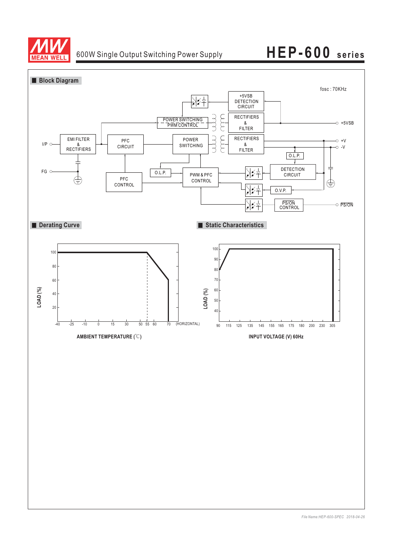

# 600W Single Output Switching Power Supply **HEP-600 series**